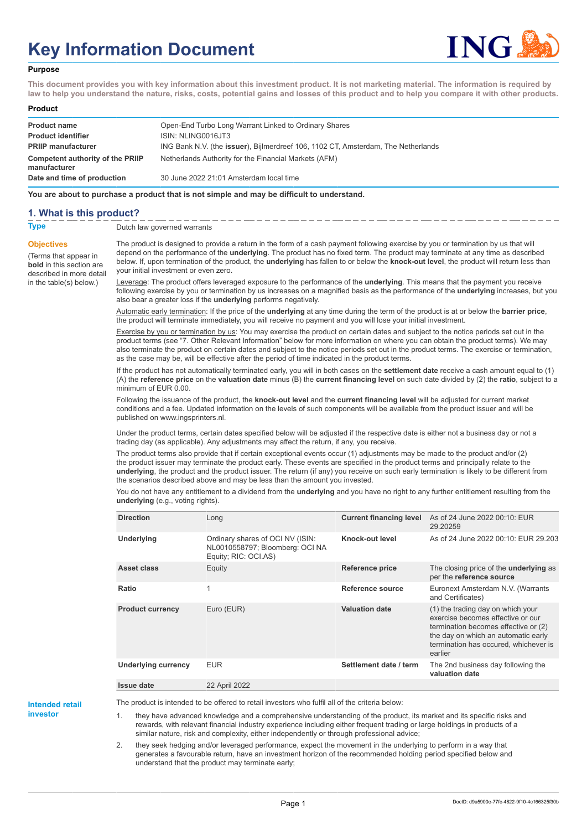# **Key Information Document**



#### **Purpose**

**This document provides you with key information about this investment product. It is not marketing material. The information is required by law to help you understand the nature, risks, costs, potential gains and losses of this product and to help you compare it with other products.**

#### **Product**

| <b>Product name</b><br><b>Product identifier</b> | Open-End Turbo Long Warrant Linked to Ordinary Shares<br>ISIN: NLING0016JT3               |
|--------------------------------------------------|-------------------------------------------------------------------------------------------|
| <b>PRIIP manufacturer</b>                        | ING Bank N.V. (the <b>issuer</b> ), Bijlmerdreef 106, 1102 CT, Amsterdam, The Netherlands |
| Competent authority of the PRIIP<br>manufacturer | Netherlands Authority for the Financial Markets (AFM)                                     |
| Date and time of production                      | 30 June 2022 21:01 Amsterdam local time                                                   |

**You are about to purchase a product that is not simple and may be difficult to understand.**

### **1. What is this product?**

**Objectives**

(Terms that appear in **bold** in this section are

in the table(s) below.)

**Type** Dutch law governed warrants

described in more detail The product is designed to provide a return in the form of a cash payment following exercise by you or termination by us that will depend on the performance of the **underlying**. The product has no fixed term. The product may terminate at any time as described below. If, upon termination of the product, the **underlying** has fallen to or below the **knock-out level**, the product will return less than your initial investment or even zero.

> Leverage: The product offers leveraged exposure to the performance of the **underlying**. This means that the payment you receive following exercise by you or termination by us increases on a magnified basis as the performance of the **underlying** increases, but you also bear a greater loss if the **underlying** performs negatively.

Automatic early termination: If the price of the **underlying** at any time during the term of the product is at or below the **barrier price**, the product will terminate immediately, you will receive no payment and you will lose your initial investment.

Exercise by you or termination by us: You may exercise the product on certain dates and subject to the notice periods set out in the product terms (see "7. Other Relevant Information" below for more information on where you can obtain the product terms). We may also terminate the product on certain dates and subject to the notice periods set out in the product terms. The exercise or termination, as the case may be, will be effective after the period of time indicated in the product terms.

If the product has not automatically terminated early, you will in both cases on the **settlement date** receive a cash amount equal to (1) (A) the **reference price** on the **valuation date** minus (B) the **current financing level** on such date divided by (2) the **ratio**, subject to a minimum of EUR 0.00.

Following the issuance of the product, the **knock-out level** and the **current financing level** will be adjusted for current market conditions and a fee. Updated information on the levels of such components will be available from the product issuer and will be published on www.ingsprinters.nl.

Under the product terms, certain dates specified below will be adjusted if the respective date is either not a business day or not a trading day (as applicable). Any adjustments may affect the return, if any, you receive.

The product terms also provide that if certain exceptional events occur (1) adjustments may be made to the product and/or (2) the product issuer may terminate the product early. These events are specified in the product terms and principally relate to the **underlying**, the product and the product issuer. The return (if any) you receive on such early termination is likely to be different from the scenarios described above and may be less than the amount you invested.

You do not have any entitlement to a dividend from the **underlying** and you have no right to any further entitlement resulting from the **underlying** (e.g., voting rights).

| <b>Direction</b>           | Long                                                                                        | <b>Current financing level</b> | As of 24 June 2022 00:10: EUR<br>29.20259                                                                                                                                                                 |
|----------------------------|---------------------------------------------------------------------------------------------|--------------------------------|-----------------------------------------------------------------------------------------------------------------------------------------------------------------------------------------------------------|
| <b>Underlying</b>          | Ordinary shares of OCI NV (ISIN:<br>NL0010558797; Bloomberg: OCI NA<br>Equity; RIC: OCI.AS) | Knock-out level                | As of 24 June 2022 00:10: EUR 29.203                                                                                                                                                                      |
| Asset class                | Equity                                                                                      | <b>Reference price</b>         | The closing price of the <b>underlying</b> as<br>per the reference source                                                                                                                                 |
| Ratio                      | 1                                                                                           | Reference source               | Euronext Amsterdam N.V. (Warrants<br>and Certificates)                                                                                                                                                    |
| <b>Product currency</b>    | Euro (EUR)                                                                                  | <b>Valuation date</b>          | (1) the trading day on which your<br>exercise becomes effective or our<br>termination becomes effective or (2)<br>the day on which an automatic early<br>termination has occured, whichever is<br>earlier |
| <b>Underlying currency</b> | <b>EUR</b>                                                                                  | Settlement date / term         | The 2nd business day following the<br>valuation date                                                                                                                                                      |
| <b>Issue date</b>          | 22 April 2022                                                                               |                                |                                                                                                                                                                                                           |

**Intended retail**

**investor**

The product is intended to be offered to retail investors who fulfil all of the criteria below:

1. they have advanced knowledge and a comprehensive understanding of the product, its market and its specific risks and rewards, with relevant financial industry experience including either frequent trading or large holdings in products of a similar nature, risk and complexity, either independently or through professional advice;

2. they seek hedging and/or leveraged performance, expect the movement in the underlying to perform in a way that generates a favourable return, have an investment horizon of the recommended holding period specified below and understand that the product may terminate early;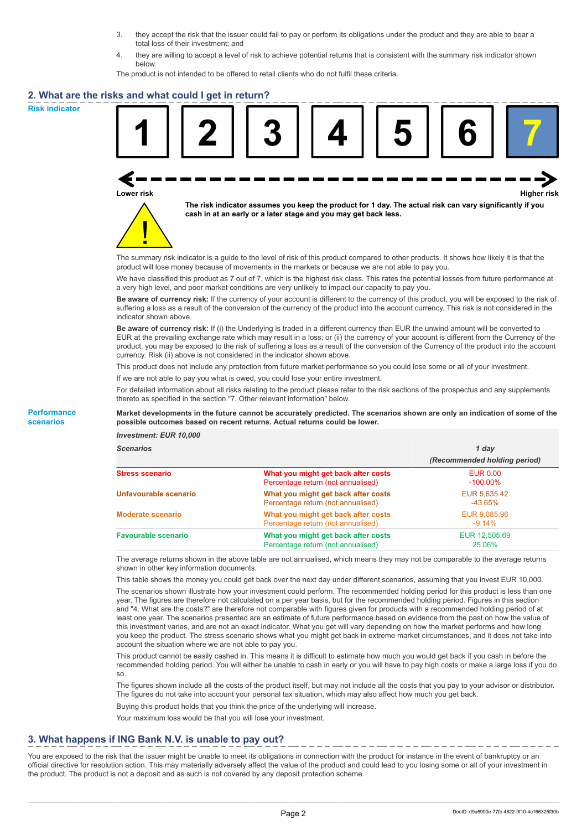- 3. they accept the risk that the issuer could fail to pay or perform its obligations under the product and they are able to bear a total loss of their investment; and
- 4. they are willing to accept a level of risk to achieve potential returns that is consistent with the summary risk indicator shown below.

The product is not intended to be offered to retail clients who do not fulfil these criteria.

### **2. What are the risks and what could I get in return?**

**Risk indicator**

**Performance scenarios**





**The risk indicator assumes you keep the product for 1 day. The actual risk can vary significantly if you cash in at an early or a later stage and you may get back less.**

The summary risk indicator is a guide to the level of risk of this product compared to other products. It shows how likely it is that the product will lose money because of movements in the markets or because we are not able to pay you.

We have classified this product as 7 out of 7, which is the highest risk class. This rates the potential losses from future performance at a very high level, and poor market conditions are very unlikely to impact our capacity to pay you.

**Be aware of currency risk:** If the currency of your account is different to the currency of this product, you will be exposed to the risk of suffering a loss as a result of the conversion of the currency of the product into the account currency. This risk is not considered in the indicator shown above.

**Be aware of currency risk:** If (i) the Underlying is traded in a different currency than EUR the unwind amount will be converted to EUR at the prevailing exchange rate which may result in a loss; or (ii) the currency of your account is different from the Currency of the product, you may be exposed to the risk of suffering a loss as a result of the conversion of the Currency of the product into the account currency. Risk (ii) above is not considered in the indicator shown above.

This product does not include any protection from future market performance so you could lose some or all of your investment.

If we are not able to pay you what is owed, you could lose your entire investment.

For detailed information about all risks relating to the product please refer to the risk sections of the prospectus and any supplements thereto as specified in the section "7. Other relevant information" below.

#### **Market developments in the future cannot be accurately predicted. The scenarios shown are only an indication of some of the possible outcomes based on recent returns. Actual returns could be lower.**

*Investment: EUR 10,000*

| <b>Scenarios</b>           |                                                                           | 1 dav<br>(Recommended holding period) |  |
|----------------------------|---------------------------------------------------------------------------|---------------------------------------|--|
|                            |                                                                           |                                       |  |
| <b>Stress scenario</b>     | What you might get back after costs<br>Percentage return (not annualised) | <b>EUR 0.00</b><br>$-100.00\%$        |  |
| Unfavourable scenario      | What you might get back after costs<br>Percentage return (not annualised) | EUR 5,635.42<br>-43.65%               |  |
| <b>Moderate scenario</b>   | What you might get back after costs<br>Percentage return (not annualised) | EUR 9,085.96<br>$-9.14%$              |  |
| <b>Favourable scenario</b> | What you might get back after costs<br>Percentage return (not annualised) | EUR 12.505.69<br>25.06%               |  |

The average returns shown in the above table are not annualised, which means they may not be comparable to the average returns shown in other key information documents.

This table shows the money you could get back over the next day under different scenarios, assuming that you invest EUR 10,000.

The scenarios shown illustrate how your investment could perform. The recommended holding period for this product is less than one year. The figures are therefore not calculated on a per year basis, but for the recommended holding period. Figures in this section and "4. What are the costs?" are therefore not comparable with figures given for products with a recommended holding period of at least one year. The scenarios presented are an estimate of future performance based on evidence from the past on how the value of this investment varies, and are not an exact indicator. What you get will vary depending on how the market performs and how long you keep the product. The stress scenario shows what you might get back in extreme market circumstances, and it does not take into account the situation where we are not able to pay you.

This product cannot be easily cashed in. This means it is difficult to estimate how much you would get back if you cash in before the recommended holding period. You will either be unable to cash in early or you will have to pay high costs or make a large loss if you do so.

The figures shown include all the costs of the product itself, but may not include all the costs that you pay to your advisor or distributor. The figures do not take into account your personal tax situation, which may also affect how much you get back.

Buying this product holds that you think the price of the underlying will increase.

Your maximum loss would be that you will lose your investment.

## **3. What happens if ING Bank N.V. is unable to pay out?**

You are exposed to the risk that the issuer might be unable to meet its obligations in connection with the product for instance in the event of bankruptcy or an official directive for resolution action. This may materially adversely affect the value of the product and could lead to you losing some or all of your investment in the product. The product is not a deposit and as such is not covered by any deposit protection scheme.